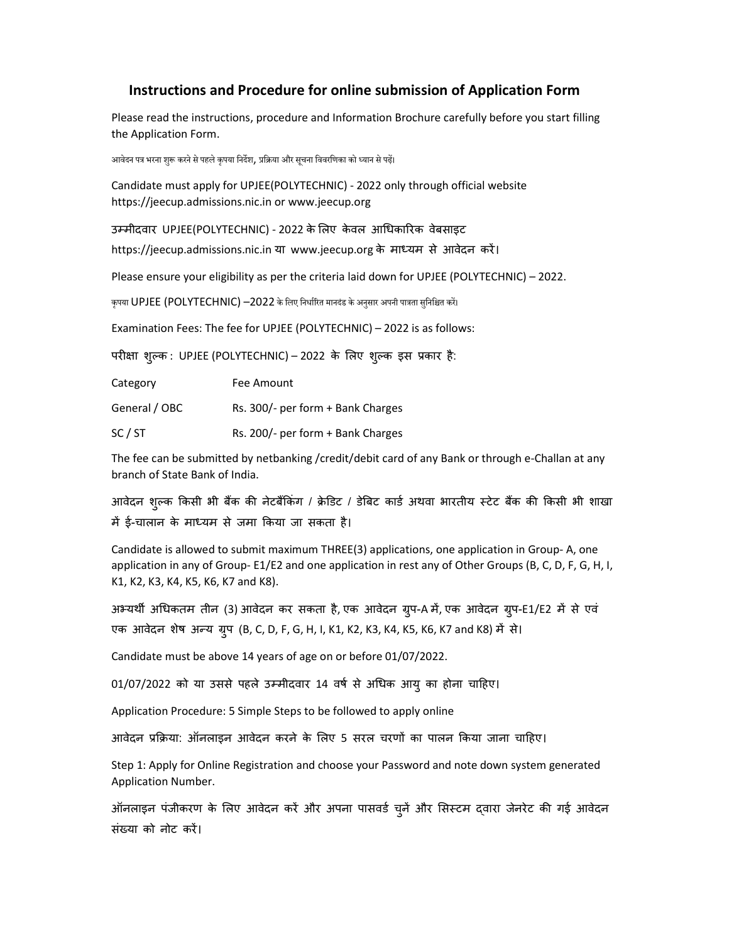## Instructions and Procedure for online submission of Application Form

Please read the instructions, procedure and Information Brochure carefully before you start filling the Application Form.

आवेदन पत्र भरना शुरू करने से पहले कृपया निर्देश, प्रक्रिया और सूचना विवरणिका को ध्यान से पढ़ें।

Candidate must apply for UPJEE(POLYTECHNIC) - 2022 only through official website https://jeecup.admissions.nic.in or www.jeecup.org

उम्मीदवार UPJEE(POLYTECHNIC) - 2022 के लिए केवल आधिकारिक वेबसाइट

https://jeecup.admissions.nic.in या www.jeecup.org के माध्यम से आवेदन करें।

Please ensure your eligibility as per the criteria laid down for UPJEE (POLYTECHNIC) – 2022.

कृपया UPJEE (POLYTECHNIC) –2022 के लिए निर्धारित मानदंड के अनुसार अपनी पात्रता सुनिश्चित करें।

Examination Fees: The fee for UPJEE (POLYTECHNIC) – 2022 is as follows:

परीक्षा शुल्क : UPJEE (POLYTECHNIC) – 2022 के लिए शुल्क इस प्रकार है:

Category Fee Amount

General / OBC Rs. 300/- per form + Bank Charges

SC / ST Rs. 200/- per form + Bank Charges

The fee can be submitted by netbanking /credit/debit card of any Bank or through e-Challan at any branch of State Bank of India.

आवेदन शुल्क किसी भी बैंक की नेटबैंकिंग / क्रेडिट / डेबिट कार्ड अथवा भारतीय स्टेट बैंक की किसी भी शाखा में ई-चालान के माध्यम से जमा किया जा सकता है।

Candidate is allowed to submit maximum THREE(3) applications, one application in Group- A, one application in any of Group- E1/E2 and one application in rest any of Other Groups (B, C, D, F, G, H, I, K1, K2, K3, K4, K5, K6, K7 and K8).

अभ्यर्थी अधिकतम तीन (3) आवेदन कर सकता है, एक आवेदन ग्र्प-A में, एक आवेदन ग्र्प-E1/E2 में से एवं एक आवेदन शेष अन्य ग्रूप (B, C, D, F, G, H, I, K1, K2, K3, K4, K5, K6, K7 and K8) में से।

Candidate must be above 14 years of age on or before 01/07/2022.

01/07/2022 को या उससे पहले उम्मीदवार 14 वर्ष से अधिक आयु का होना चाहिए।

Application Procedure: 5 Simple Steps to be followed to apply online

आवेदन प्रक्रिया: ऑनलाइन आवेदन करने के लिए 5 सरल चरणों का पालन किया जाना चाहिए।

Step 1: Apply for Online Registration and choose your Password and note down system generated Application Number.

ऑनलाइन पंजीकरण के लिए आवेदन करें और अपना पासवर्ड चुनें और सिस्टम द्वारा जेनरेट की गई आवेदन संख्या को नोट करें।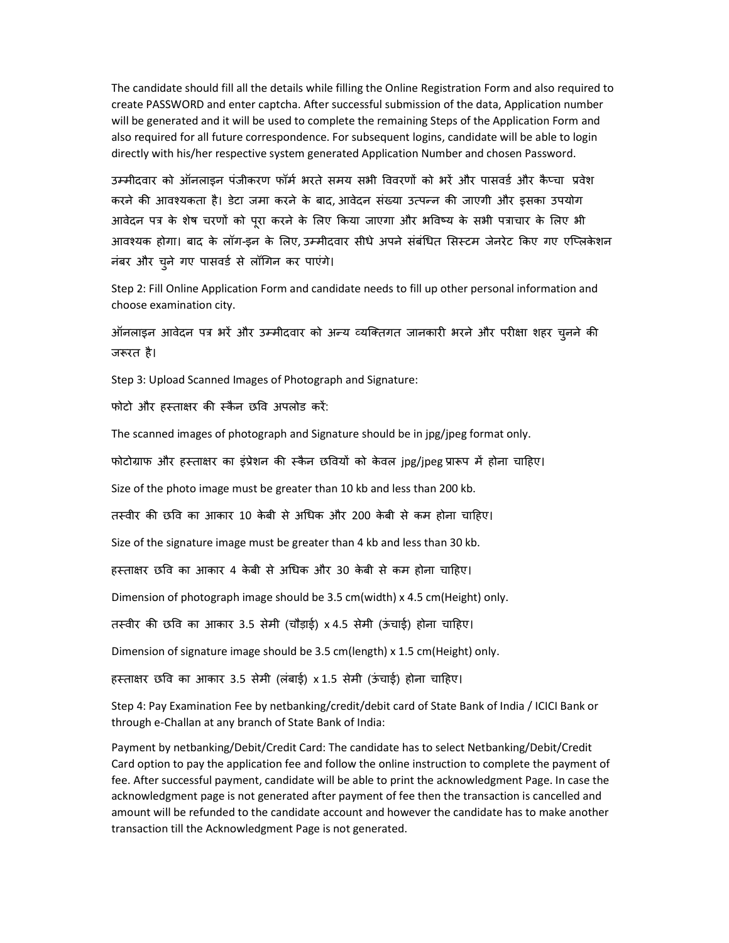The candidate should fill all the details while filling the Online Registration Form and also required to create PASSWORD and enter captcha. After successful submission of the data, Application number will be generated and it will be used to complete the remaining Steps of the Application Form and also required for all future correspondence. For subsequent logins, candidate will be able to login directly with his/her respective system generated Application Number and chosen Password.

उम्मीदवार को ऑनलाइन पंजीकरण फॉर्म भरते समय सभी विवरणों को भरें और पासवर्ड और कैप्चा प्रवेश करने की आवश्यकता है। डेटा जमा करने के बाद, आवेदन संख्या उत्पन्न की जाएगी और इसका उपयोग आवेदन पत्र के शेष चरणों को पूरा करने के लिए किया जाएगा और भविष्य के सभी पत्राचार के लिए भी आवश्यक होगा। बाद के लॉग-इन के लिए, उम्मीदवार सीधे अपने संबंधित सिस्टम जेनरेट किए गए एप्लिकेशन नंबर और चुने गए पासवर्ड से लॉगिन कर पाएंगे।

Step 2: Fill Online Application Form and candidate needs to fill up other personal information and choose examination city.

ऑनलाइन आवेदन पत्र भरें और उम्मीदवार को अन्य व्यक्तिगत जानकारी भरने और परीक्षा शहर चुनने की जरूरत है।

Step 3: Upload Scanned Images of Photograph and Signature:

फोटो और हस्ताक्षर की स्कैन छवि अपलोड करें:

The scanned images of photograph and Signature should be in jpg/jpeg format only.

फोटोग्राफ और हस्ताक्षर का इंप्रेशन की स्कैन छवियों को केवल jpg/jpeg प्रारूप में होना चाहिए।

Size of the photo image must be greater than 10 kb and less than 200 kb.

तस्वीर की छवि का आकार 10 केबी से अधिक और 200 केबी से कम होना चाहिए।

Size of the signature image must be greater than 4 kb and less than 30 kb.

हस्ताक्षर छवि का आकार 4 केबी से अधिक और 30 केबी से कम होना चाहिए।

Dimension of photograph image should be 3.5 cm(width) x 4.5 cm(Height) only.

तस्वीर की छवि का आकार 3.5 सेमी (चौड़ाई) x 4.5 सेमी (ऊंचाई) होना चाहिए।

Dimension of signature image should be 3.5 cm(length) x 1.5 cm(Height) only.

हस्ताक्षर छवि का आकार 3.5 सेमी (लंबाई) x 1.5 सेमी (ऊंचाई) होना चाहिए।

Step 4: Pay Examination Fee by netbanking/credit/debit card of State Bank of India / ICICI Bank or through e-Challan at any branch of State Bank of India:

Payment by netbanking/Debit/Credit Card: The candidate has to select Netbanking/Debit/Credit Card option to pay the application fee and follow the online instruction to complete the payment of fee. After successful payment, candidate will be able to print the acknowledgment Page. In case the acknowledgment page is not generated after payment of fee then the transaction is cancelled and amount will be refunded to the candidate account and however the candidate has to make another transaction till the Acknowledgment Page is not generated.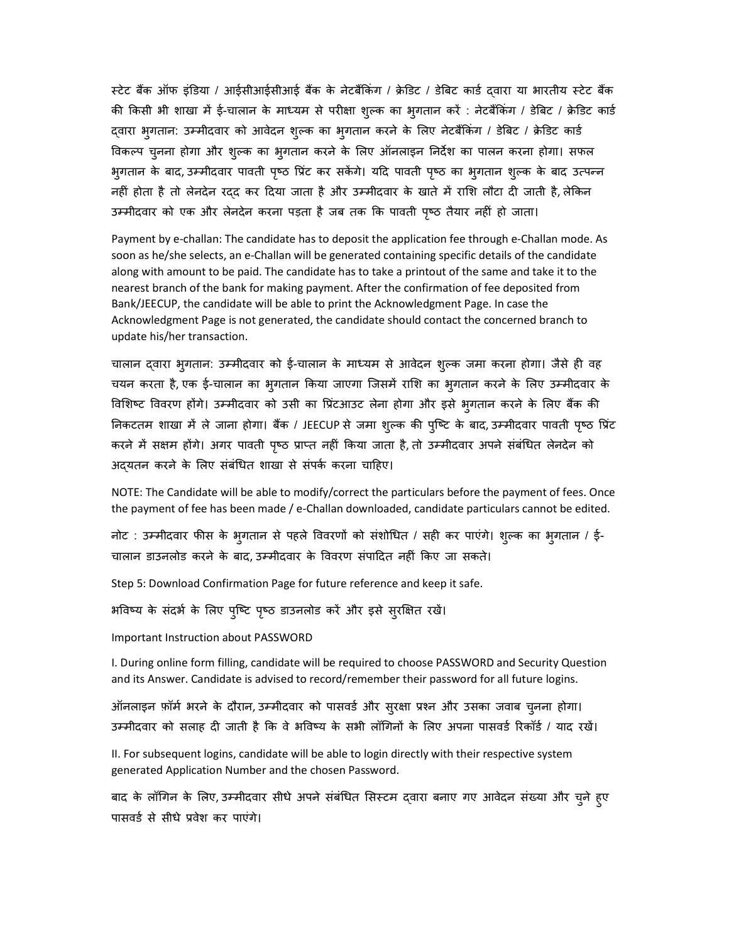स्टेट बैंक ऑफ इंडिया / आईसीआईसीआई बैंक के नेटबैंकिंग / क्रेडिट / डेबिट कार्ड दवारा या भारतीय स्टेट बैंक की किसी भी शाखा में ई-चालान के माध्यम से परीक्षा शुल्क का भुगतान करें : नेटबैंकिंग / डेबिट / क्रेडिट कार्ड द्वारा भ्गतान: उम्मीदवार को आवेदन शुल्क का भुगतान करने के लिए नेटबैंकिंग / डेबिट / क्रेडिट कार्ड विकल्प चुनना होगा और शुल्क का भुगतान करने के लिए ऑनलाइन निर्देश का पालन करना होगा। सफल भुगतान के बाद, उम्मीदवार पावती पृष्ठ प्रिंट कर सकेंगे। यदि पावती पृष्ठ का भृगतान श्ल्क के बाद उत्पन्न नहीं होता है तो लेनदेन रदद कर दिया जाता है और उम्मीदवार के खाते में राशि लौटा दी जाती है, लेकिन उम्मीदवार को एक और लेनदेन करना पड़ता है जब तक कि पावती पृष्ठ तैयार नहीं हो जाता।

Payment by e-challan: The candidate has to deposit the application fee through e-Challan mode. As soon as he/she selects, an e-Challan will be generated containing specific details of the candidate along with amount to be paid. The candidate has to take a printout of the same and take it to the nearest branch of the bank for making payment. After the confirmation of fee deposited from Bank/JEECUP, the candidate will be able to print the Acknowledgment Page. In case the Acknowledgment Page is not generated, the candidate should contact the concerned branch to update his/her transaction.

चालान दवारा भुगतान: उम्मीदवार को ई-चालान के माध्यम से आवेदन शुल्क जमा करना होगा। जैसे ही वह चयन करता है, एक ई-चालान का भुगतान किया जाएगा जिसमें राशि का भुगतान करने के लिए उम्मीदवार के विशिष्ट विवरण होंगे। उम्मीदवार को उसी का प्रिंटआउट लेना होगा और इसे भुगतान करने के लिए बैंक की निकटतम शाखा में ले जाना होगा। बैंक / JEECUP से जमा शुल्क की पुष्टि के बाद, उम्मीदवार पावती पृष्ठ प्रिंट करने में सक्षम होंगे। अगर पावती पृष्ठ प्राप्त नहीं किया जाता है, तो उम्मीदवार अपने संबंधित लेनदेन को अदयतन करने के लिए संबंधित शाखा से संपर्क करना चाहिए।

NOTE: The Candidate will be able to modify/correct the particulars before the payment of fees. Once the payment of fee has been made / e-Challan downloaded, candidate particulars cannot be edited.

नोट : उम्मीदवार फीस के भुगतान से पहले विवरणों को संशोधित / सही कर पाएंगे। शुल्क का भुगतान / ई-चालान डाउनलोड करने के बाद, उम्मीदवार के विवरण संपादित नहीं किए जा सकते।

Step 5: Download Confirmation Page for future reference and keep it safe.

भविष्य के संदर्भ के लिए पुष्टि पृष्ठ डाउनलोड करें और इसे सुरक्षित रखें।

Important Instruction about PASSWORD

I. During online form filling, candidate will be required to choose PASSWORD and Security Question and its Answer. Candidate is advised to record/remember their password for all future logins.

ऑनलाइन फ़ॉर्म भरने के दौरान, उम्मीदवार को पासवर्ड और सुरक्षा प्रश्न और उसका जवाब चुनना होगा। उम्मीदवार को सलाह दी जाती है कि वे भविष्य के सभी लॉगिनों के लिए अपना पासवर्ड रिकॉर्ड / याद रखें।

II. For subsequent logins, candidate will be able to login directly with their respective system generated Application Number and the chosen Password.

बाद के लॉगिन के लिए, उम्मीदवार सीधे अपने संबंधित सिस्टम द्वारा बनाए गए आवेदन संख्या और चुने हुए पासवर्ड से सीधे प्रवेश कर पाएंगे।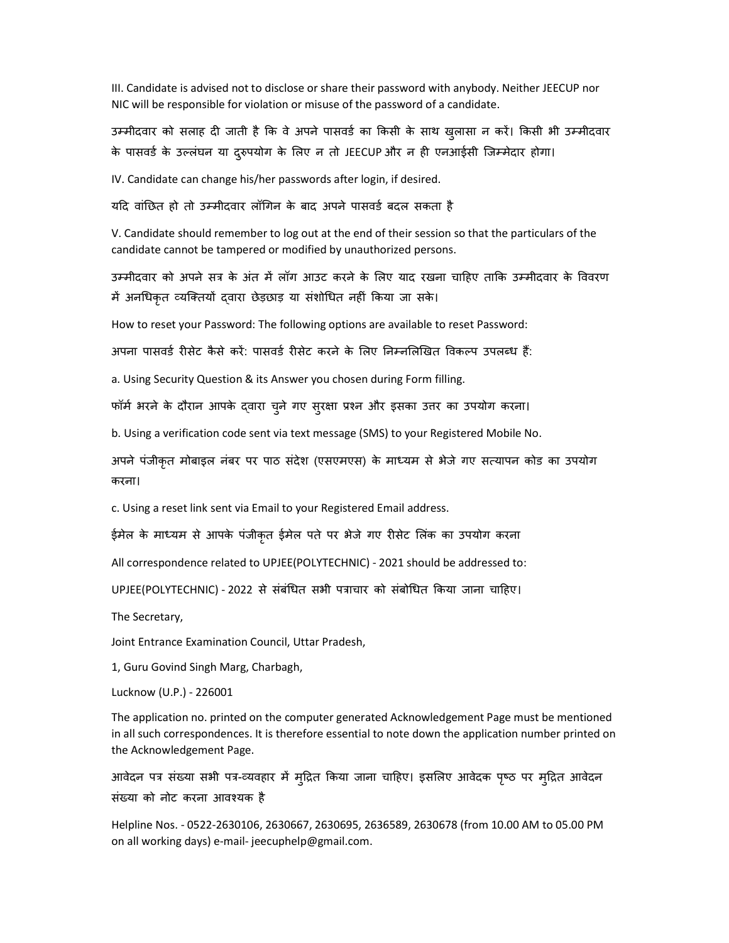III. Candidate is advised not to disclose or share their password with anybody. Neither JEECUP nor NIC will be responsible for violation or misuse of the password of a candidate.

उम्मीदवार को सलाह दी जाती है कि वे अपने पासवर्ड का किसी के साथ खुलासा न करें। किसी भी उम्मीदवार के पासवर्ड के उल्लंघन या द्रुपयोग के लिए न तो JEECUP और न ही एनआईसी जिम्मेदार होगा।

IV. Candidate can change his/her passwords after login, if desired.

यदि वांछित हो तो उम्मीदवार लॉगिन के बाद अपने पासवर्ड बदल सकता है

V. Candidate should remember to log out at the end of their session so that the particulars of the candidate cannot be tampered or modified by unauthorized persons.

उम्मीदवार को अपने सत्र के अंत में लॉग आउट करने के लिए याद रखना चाहिए ताकि उम्मीदवार के विवरण में अनधिकृत व्यक्तियों द्वारा छेड़छाड़ या संशोधित नहीं किया जा सके।

How to reset your Password: The following options are available to reset Password:

अपना पासवर्ड रीसेट कैसे करें: पासवर्ड रीसेट करने के लिए निम्नलिखित विकल्प उपलब्ध हैं:

a. Using Security Question & its Answer you chosen during Form filling.

फॉर्म भरने के दौरान आपके दवारा चुने गए सुरक्षा प्रश्न और इसका उत्तर का उपयोग करना।

b. Using a verification code sent via text message (SMS) to your Registered Mobile No.

अपने पंजीकृत मोबाइल नंबर पर पाठ संदेश (एसएमएस) के माध्यम से भेजे गए सत्यापन कोड का उपयोग करना।

c. Using a reset link sent via Email to your Registered Email address.

ईमेल के माध्यम से आपके पंजीकृत ईमेल पते पर भेजे गए रीसेट लिंक का उपयोग करना

All correspondence related to UPJEE(POLYTECHNIC) - 2021 should be addressed to:

UPJEE(POLYTECHNIC) - 2022 से संबंधित सभी पत्राचार को संबोधित किया जाना चाहिए।

The Secretary,

Joint Entrance Examination Council, Uttar Pradesh,

1, Guru Govind Singh Marg, Charbagh,

Lucknow (U.P.) - 226001

The application no. printed on the computer generated Acknowledgement Page must be mentioned in all such correspondences. It is therefore essential to note down the application number printed on the Acknowledgement Page.

आवेदन पत्र संख्या सभी पत्र-व्यवहार में मुद्रित किया जाना चाहिए। इसलिए आवेदक पृष्ठ पर मुद्रित आवेदन संख्या को नोट करना आवश्यक है

Helpline Nos. - 0522-2630106, 2630667, 2630695, 2636589, 2630678 (from 10.00 AM to 05.00 PM on all working days) e-mail- jeecuphelp@gmail.com.